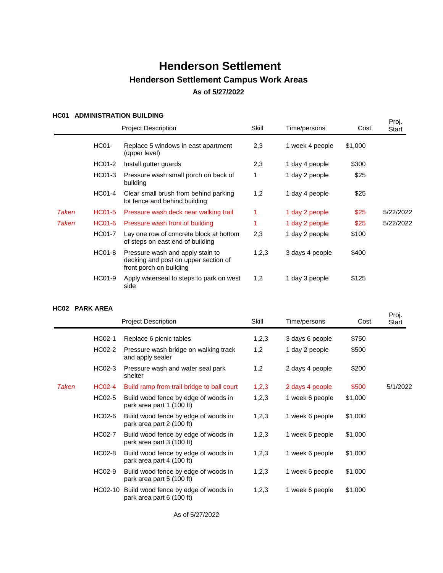### **HC01 ADMINISTRATION BUILDING**

|       | _____________________ | <b>Project Description</b>                                                                          | Skill | Time/persons    | Cost    | Proj.<br>Start |
|-------|-----------------------|-----------------------------------------------------------------------------------------------------|-------|-----------------|---------|----------------|
|       | <b>HC01-</b>          | Replace 5 windows in east apartment<br>(upper level)                                                | 2,3   | 1 week 4 people | \$1,000 |                |
|       | HC01-2                | Install gutter guards                                                                               | 2,3   | 1 day 4 people  | \$300   |                |
|       | HC01-3                | Pressure wash small porch on back of<br>building                                                    | 1     | 1 day 2 people  | \$25    |                |
|       | <b>HC01-4</b>         | Clear small brush from behind parking<br>lot fence and behind building                              | 1,2   | 1 day 4 people  | \$25    |                |
| Taken | HC01-5                | Pressure wash deck near walking trail                                                               | 1.    | 1 day 2 people  | \$25    | 5/22/2022      |
| Taken | <b>HC01-6</b>         | Pressure wash front of building                                                                     |       | 1 day 2 people  | \$25    | 5/22/2022      |
|       | <b>HC01-7</b>         | Lay one row of concrete block at bottom<br>of steps on east end of building                         | 2,3   | 1 day 2 people  | \$100   |                |
|       | <b>HC01-8</b>         | Pressure wash and apply stain to<br>decking and post on upper section of<br>front porch on building | 1,2,3 | 3 days 4 people | \$400   |                |
|       | HC01-9                | Apply waterseal to steps to park on west<br>side                                                    | 1,2   | 1 day 3 people  | \$125   |                |

#### **HC02 PARK AREA**

|       |         | <b>Project Description</b>                                        | Skill | Time/persons    | Cost    | . <u>.</u><br>Start |
|-------|---------|-------------------------------------------------------------------|-------|-----------------|---------|---------------------|
|       | HC02-1  | Replace 6 picnic tables                                           | 1,2,3 | 3 days 6 people | \$750   |                     |
|       | HC02-2  | Pressure wash bridge on walking track<br>and apply sealer         | 1,2   | 1 day 2 people  | \$500   |                     |
|       | HC02-3  | Pressure wash and water seal park<br>shelter                      | 1,2   | 2 days 4 people | \$200   |                     |
| Taken | HC02-4  | Build ramp from trail bridge to ball court                        | 1,2,3 | 2 days 4 people | \$500   | 5/1/2022            |
|       | HC02-5  | Build wood fence by edge of woods in<br>park area part 1 (100 ft) | 1,2,3 | 1 week 6 people | \$1,000 |                     |
|       | HC02-6  | Build wood fence by edge of woods in<br>park area part 2 (100 ft) | 1,2,3 | 1 week 6 people | \$1,000 |                     |
|       | HC02-7  | Build wood fence by edge of woods in<br>park area part 3 (100 ft) | 1,2,3 | 1 week 6 people | \$1,000 |                     |
|       | HC02-8  | Build wood fence by edge of woods in<br>park area part 4 (100 ft) | 1,2,3 | 1 week 6 people | \$1,000 |                     |
|       | HC02-9  | Build wood fence by edge of woods in<br>park area part 5 (100 ft) | 1,2,3 | 1 week 6 people | \$1,000 |                     |
|       | HC02-10 | Build wood fence by edge of woods in<br>park area part 6 (100 ft) | 1,2,3 | 1 week 6 people | \$1,000 |                     |

Proj.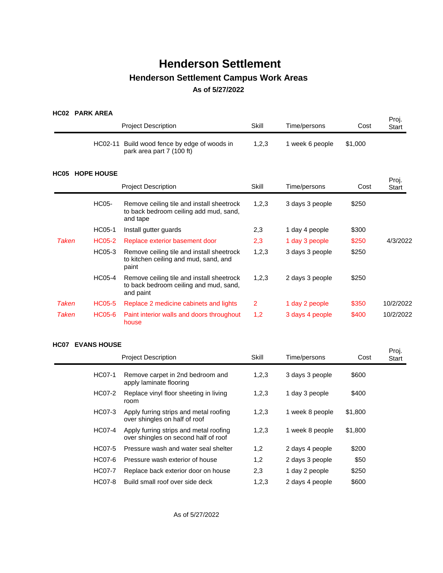## **HC02 PARK AREA**

|              |                   | <b>Project Description</b>                                                                       | Skill          | Time/persons    | Cost    | Proj.<br><b>Start</b> |
|--------------|-------------------|--------------------------------------------------------------------------------------------------|----------------|-----------------|---------|-----------------------|
|              | HC02-11           | Build wood fence by edge of woods in<br>park area part 7 (100 ft)                                | 1,2,3          | 1 week 6 people | \$1,000 |                       |
| <b>HC05</b>  | <b>HOPE HOUSE</b> |                                                                                                  |                |                 |         | Proj.                 |
|              |                   | <b>Project Description</b>                                                                       | Skill          | Time/persons    | Cost    | Start                 |
|              | HC05-             | Remove ceiling tile and install sheetrock<br>to back bedroom ceiling add mud, sand,<br>and tape  | 1,2,3          | 3 days 3 people | \$250   |                       |
|              | HC05-1            | Install gutter guards                                                                            | 2,3            | 1 day 4 people  | \$300   |                       |
| <b>Taken</b> | <b>HC05-2</b>     | Replace exterior basement door                                                                   | 2,3            | 1 day 3 people  | \$250   | 4/3/2022              |
|              | HC05-3            | Remove ceiling tile and install sheetrock<br>to kitchen ceiling and mud, sand, and<br>paint      | 1,2,3          | 3 days 3 people | \$250   |                       |
|              | HC05-4            | Remove ceiling tile and install sheetrock<br>to back bedroom ceiling and mud, sand,<br>and paint | 1,2,3          | 2 days 3 people | \$250   |                       |
| <b>Taken</b> | <b>HC05-5</b>     | Replace 2 medicine cabinets and lights                                                           | $\overline{2}$ | 1 day 2 people  | \$350   | 10/2/2022             |
| Taken        | <b>HC05-6</b>     | Paint interior walls and doors throughout<br>house                                               | 1,2            | 3 days 4 people | \$400   | 10/2/2022             |

### **HC07 EVANS HOUSE**

| vv r | 67000 11VVVL  |                                                                                |       |                 |         | Proj. |
|------|---------------|--------------------------------------------------------------------------------|-------|-----------------|---------|-------|
|      |               | <b>Project Description</b>                                                     | Skill | Time/persons    | Cost    | Start |
|      | HC07-1        | Remove carpet in 2nd bedroom and<br>apply laminate flooring                    | 1,2,3 | 3 days 3 people | \$600   |       |
|      | HC07-2        | Replace vinyl floor sheeting in living<br>room                                 | 1,2,3 | 1 day 3 people  | \$400   |       |
|      | HC07-3        | Apply furring strips and metal roofing<br>over shingles on half of roof        | 1,2,3 | 1 week 8 people | \$1,800 |       |
|      | HC07-4        | Apply furring strips and metal roofing<br>over shingles on second half of roof | 1,2,3 | 1 week 8 people | \$1,800 |       |
|      | HC07-5        | Pressure wash and water seal shelter                                           | 1,2   | 2 days 4 people | \$200   |       |
|      | HC07-6        | Pressure wash exterior of house                                                | 1,2   | 2 days 3 people | \$50    |       |
|      | HC07-7        | Replace back exterior door on house                                            | 2,3   | 1 day 2 people  | \$250   |       |
|      | <b>HC07-8</b> | Build small roof over side deck                                                | 1,2,3 | 2 days 4 people | \$600   |       |
|      |               |                                                                                |       |                 |         |       |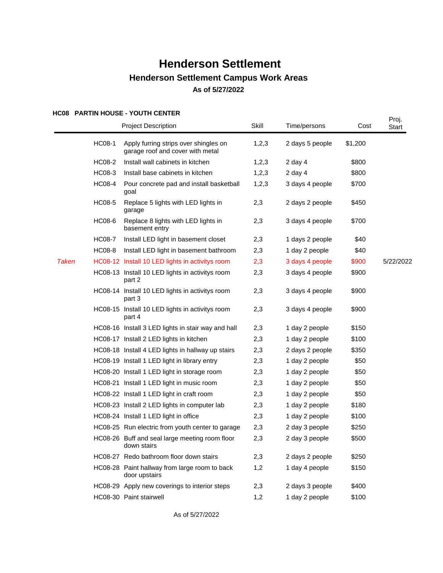### **HC08 PARTIN HOUSE - YOUTH CENTER**

|              |               | NGU PARIN NGUSE - IGUIN GENIER<br><b>Project Description</b>              | Skill   | Time/persons    | Cost    | Proj.<br>Start |
|--------------|---------------|---------------------------------------------------------------------------|---------|-----------------|---------|----------------|
|              | <b>HC08-1</b> | Apply furring strips over shingles on<br>garage roof and cover with metal | 1,2,3   | 2 days 5 people | \$1,200 |                |
|              | <b>HC08-2</b> | Install wall cabinets in kitchen                                          | 1,2,3   | 2 day 4         | \$800   |                |
|              | HC08-3        | Install base cabinets in kitchen                                          | 1, 2, 3 | $2$ day $4$     | \$800   |                |
|              | <b>HC08-4</b> | Pour concrete pad and install basketball<br>goal                          | 1,2,3   | 3 days 4 people | \$700   |                |
|              | <b>HC08-5</b> | Replace 5 lights with LED lights in<br>garage                             | 2,3     | 2 days 2 people | \$450   |                |
|              | HC08-6        | Replace 8 lights with LED lights in<br>basement entry                     | 2,3     | 3 days 4 people | \$700   |                |
|              | <b>HC08-7</b> | Install LED light in basement closet                                      | 2,3     | 1 days 2 people | \$40    |                |
|              | <b>HC08-8</b> | Install LED light in basement bathroom                                    | 2,3     | 1 day 2 people  | \$40    |                |
| <b>Taken</b> |               | HC08-12 Install 10 LED lights in activitys room                           | 2,3     | 3 days 4 people | \$900   | 5/22/2022      |
|              |               | HC08-13 Install 10 LED lights in activitys room<br>part 2                 | 2,3     | 3 days 4 people | \$900   |                |
|              |               | HC08-14 Install 10 LED lights in activitys room<br>part 3                 | 2,3     | 3 days 4 people | \$900   |                |
|              |               | HC08-15 Install 10 LED lights in activitys room<br>part 4                 | 2,3     | 3 days 4 people | \$900   |                |
|              |               | HC08-16 Install 3 LED lights in stair way and hall                        | 2,3     | 1 day 2 people  | \$150   |                |
|              |               | HC08-17 Install 2 LED lights in kitchen                                   | 2,3     | 1 day 2 people  | \$100   |                |
|              |               | HC08-18 Install 4 LED lights in hallway up stairs                         | 2,3     | 2 days 2 people | \$350   |                |
|              |               | HC08-19 Install 1 LED light in library entry                              | 2,3     | 1 day 2 people  | \$50    |                |
|              |               | HC08-20 Install 1 LED light in storage room                               | 2,3     | 1 day 2 people  | \$50    |                |
|              |               | HC08-21 Install 1 LED light in music room                                 | 2,3     | 1 day 2 people  | \$50    |                |
|              |               | HC08-22 Install 1 LED light in craft room                                 | 2,3     | 1 day 2 people  | \$50    |                |
|              |               | HC08-23 Install 2 LED lights in computer lab                              | 2,3     | 1 day 2 people  | \$180   |                |
|              |               | HC08-24 Install 1 LED light in office                                     | 2,3     | 1 day 2 people  | \$100   |                |
|              |               | HC08-25 Run electric from youth center to garage                          | 2,3     | 2 day 3 people  | \$250   |                |
|              |               | HC08-26 Buff and seal large meeting room floor<br>down stairs             | 2,3     | 2 day 3 people  | \$500   |                |
|              |               | HC08-27 Redo bathroom floor down stairs                                   | 2,3     | 2 days 2 people | \$250   |                |
|              |               | HC08-28 Paint hallway from large room to back<br>door upstairs            | 1,2     | 1 day 4 people  | \$150   |                |
|              |               | HC08-29 Apply new coverings to interior steps                             | 2,3     | 2 days 3 people | \$400   |                |
|              |               | HC08-30 Paint stairwell                                                   | 1,2     | 1 day 2 people  | \$100   |                |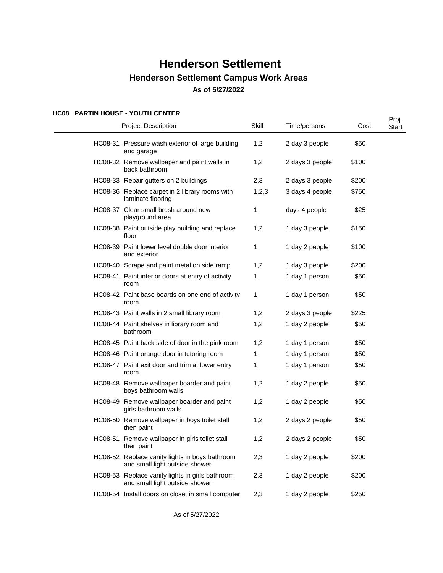### **HC08 PARTIN HOUSE - YOUTH CENTER**

|  | <b>FANTIN HOUSE - TOUTH CENTEN</b><br><b>Project Description</b>                  | Skill        | Time/persons    | Cost  | Proj.<br>Start |
|--|-----------------------------------------------------------------------------------|--------------|-----------------|-------|----------------|
|  | HC08-31 Pressure wash exterior of large building<br>and garage                    | 1,2          | 2 day 3 people  | \$50  |                |
|  | HC08-32 Remove wallpaper and paint walls in<br>back bathroom                      | 1,2          | 2 days 3 people | \$100 |                |
|  | HC08-33 Repair gutters on 2 buildings                                             | 2,3          | 2 days 3 people | \$200 |                |
|  | HC08-36 Replace carpet in 2 library rooms with<br>laminate flooring               | 1,2,3        | 3 days 4 people | \$750 |                |
|  | HC08-37 Clear small brush around new<br>playground area                           | 1            | days 4 people   | \$25  |                |
|  | HC08-38 Paint outside play building and replace<br>floor                          | 1,2          | 1 day 3 people  | \$150 |                |
|  | HC08-39 Paint lower level double door interior<br>and exterior                    | 1            | 1 day 2 people  | \$100 |                |
|  | HC08-40 Scrape and paint metal on side ramp                                       | 1,2          | 1 day 3 people  | \$200 |                |
|  | HC08-41 Paint interior doors at entry of activity<br>room                         | 1            | 1 day 1 person  | \$50  |                |
|  | HC08-42 Paint base boards on one end of activity<br>room                          | $\mathbf{1}$ | 1 day 1 person  | \$50  |                |
|  | HC08-43 Paint walls in 2 small library room                                       | 1,2          | 2 days 3 people | \$225 |                |
|  | HC08-44 Paint shelves in library room and<br>bathroom                             | 1,2          | 1 day 2 people  | \$50  |                |
|  | HC08-45 Paint back side of door in the pink room                                  | 1,2          | 1 day 1 person  | \$50  |                |
|  | HC08-46 Paint orange door in tutoring room                                        | 1            | 1 day 1 person  | \$50  |                |
|  | HC08-47 Paint exit door and trim at lower entry<br>room                           | 1            | 1 day 1 person  | \$50  |                |
|  | HC08-48 Remove wallpaper boarder and paint<br>boys bathroom walls                 | 1,2          | 1 day 2 people  | \$50  |                |
|  | HC08-49 Remove wallpaper boarder and paint<br>girls bathroom walls                | 1,2          | 1 day 2 people  | \$50  |                |
|  | HC08-50 Remove wallpaper in boys toilet stall<br>then paint                       | 1,2          | 2 days 2 people | \$50  |                |
|  | HC08-51 Remove wallpaper in girls toilet stall<br>then paint                      | 1,2          | 2 days 2 people | \$50  |                |
|  | HC08-52 Replace vanity lights in boys bathroom<br>and small light outside shower  | 2,3          | 1 day 2 people  | \$200 |                |
|  | HC08-53 Replace vanity lights in girls bathroom<br>and small light outside shower | 2,3          | 1 day 2 people  | \$200 |                |
|  | HC08-54 Install doors on closet in small computer                                 | 2,3          | 1 day 2 people  | \$250 |                |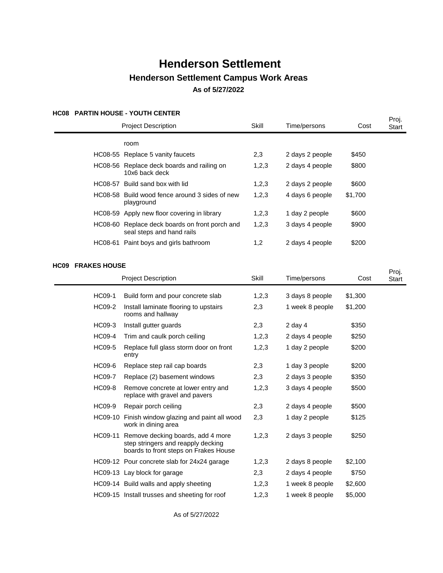### **HC08 PARTIN HOUSE - YOUTH CENTER**

| Proj.   |                                                                             |       |                 |         |              |
|---------|-----------------------------------------------------------------------------|-------|-----------------|---------|--------------|
|         | <b>Project Description</b>                                                  | Skill | Time/persons    | Cost    | <b>Start</b> |
|         | room                                                                        |       |                 |         |              |
|         | HC08-55 Replace 5 vanity faucets                                            | 2,3   | 2 days 2 people | \$450   |              |
|         | HC08-56 Replace deck boards and railing on<br>10x6 back deck                | 1,2,3 | 2 days 4 people | \$800   |              |
|         | HC08-57 Build sand box with lid                                             | 1,2,3 | 2 days 2 people | \$600   |              |
|         | HC08-58 Build wood fence around 3 sides of new<br>playground                | 1,2,3 | 4 days 6 people | \$1,700 |              |
|         | HC08-59 Apply new floor covering in library                                 | 1,2,3 | 1 day 2 people  | \$600   |              |
|         | HC08-60 Replace deck boards on front porch and<br>seal steps and hand rails | 1,2,3 | 3 days 4 people | \$900   |              |
| HC08-61 | Paint boys and girls bathroom                                               | 1,2   | 2 days 4 people | \$200   |              |
|         |                                                                             |       |                 |         |              |

### **HC09 FRAKES HOUSE**

|               | <b>Project Description</b>                                                                                               |       | Time/persons    | Cost    | Proj.<br>Start |
|---------------|--------------------------------------------------------------------------------------------------------------------------|-------|-----------------|---------|----------------|
| HC09-1        | Build form and pour concrete slab                                                                                        | 1,2,3 | 3 days 8 people | \$1,300 |                |
| <b>HC09-2</b> | Install laminate flooring to upstairs<br>rooms and hallway                                                               | 2,3   | 1 week 8 people | \$1,200 |                |
| HC09-3        | Install gutter guards                                                                                                    | 2,3   | 2 day $4$       | \$350   |                |
| <b>HC09-4</b> | Trim and caulk porch ceiling                                                                                             | 1,2,3 | 2 days 4 people | \$250   |                |
| <b>HC09-5</b> | Replace full glass storm door on front<br>entry                                                                          | 1,2,3 | 1 day 2 people  | \$200   |                |
| HC09-6        | Replace step rail cap boards                                                                                             | 2,3   | 1 day 3 people  | \$200   |                |
| <b>HC09-7</b> | Replace (2) basement windows                                                                                             | 2,3   | 2 days 3 people | \$350   |                |
| <b>HC09-8</b> | Remove concrete at lower entry and<br>replace with gravel and pavers                                                     | 1,2,3 | 3 days 4 people | \$500   |                |
| HC09-9        | Repair porch ceiling                                                                                                     | 2,3   | 2 days 4 people | \$500   |                |
|               | HC09-10 Finish window glazing and paint all wood<br>work in dining area                                                  | 2,3   | 1 day 2 people  | \$125   |                |
|               | HC09-11 Remove decking boards, add 4 more<br>step stringers and reapply decking<br>boards to front steps on Frakes House | 1,2,3 | 2 days 3 people | \$250   |                |
|               | HC09-12 Pour concrete slab for 24x24 garage                                                                              | 1,2,3 | 2 days 8 people | \$2,100 |                |
|               | HC09-13 Lay block for garage                                                                                             | 2,3   | 2 days 4 people | \$750   |                |
|               | HC09-14 Build walls and apply sheeting                                                                                   | 1,2,3 | 1 week 8 people | \$2,600 |                |
|               | HC09-15 Install trusses and sheeting for roof                                                                            | 1,2,3 | 1 week 8 people | \$5,000 |                |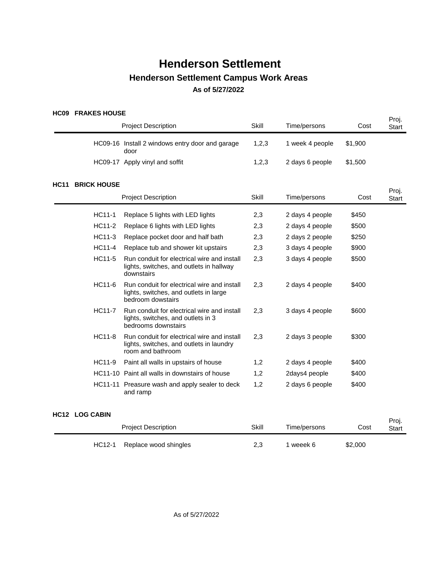### **HC09 FRAKES HOUSE**

|             | חטטא בואחוז ניטט   | <b>Project Description</b>                                                                                   | Skill | Time/persons    | Cost    | Proj.<br><b>Start</b> |
|-------------|--------------------|--------------------------------------------------------------------------------------------------------------|-------|-----------------|---------|-----------------------|
|             |                    | HC09-16 Install 2 windows entry door and garage<br>door                                                      | 1,2,3 | 1 week 4 people | \$1,900 |                       |
|             |                    | HC09-17 Apply vinyl and soffit                                                                               | 1,2,3 | 2 days 6 people | \$1,500 |                       |
| <b>HC11</b> | <b>BRICK HOUSE</b> |                                                                                                              |       |                 |         |                       |
|             |                    | <b>Project Description</b>                                                                                   | Skill | Time/persons    | Cost    | Proj.<br>Start        |
|             | HC11-1             | Replace 5 lights with LED lights                                                                             | 2,3   | 2 days 4 people | \$450   |                       |
|             | HC11-2             | Replace 6 lights with LED lights                                                                             | 2,3   | 2 days 4 people | \$500   |                       |
|             | HC11-3             | Replace pocket door and half bath                                                                            | 2,3   | 2 days 2 people | \$250   |                       |
|             | <b>HC11-4</b>      | Replace tub and shower kit upstairs                                                                          | 2,3   | 3 days 4 people | \$900   |                       |
|             | HC11-5             | Run conduit for electrical wire and install<br>lights, switches, and outlets in hallway<br>downstairs        | 2,3   | 3 days 4 people | \$500   |                       |
|             | HC11-6             | Run conduit for electrical wire and install<br>lights, switches, and outlets in large<br>bedroom dowstairs   | 2,3   | 2 days 4 people | \$400   |                       |
|             | <b>HC11-7</b>      | Run conduit for electrical wire and install<br>lights, switches, and outlets in 3<br>bedrooms downstairs     | 2,3   | 3 days 4 people | \$600   |                       |
|             | <b>HC11-8</b>      | Run conduit for electrical wire and install<br>lights, switches, and outlets in laundry<br>room and bathroom | 2,3   | 2 days 3 people | \$300   |                       |
|             | HC11-9             | Paint all walls in upstairs of house                                                                         | 1,2   | 2 days 4 people | \$400   |                       |
|             |                    | HC11-10 Paint all walls in downstairs of house                                                               | 1,2   | 2days4 people   | \$400   |                       |
|             |                    | HC11-11 Preasure wash and apply sealer to deck<br>and ramp                                                   | 1,2   | 2 days 6 people | \$400   |                       |

## **HC12 LOG CABIN**

|        | <b>Project Description</b> | Skill | Time/persons | Cost    | Proj.<br>Start |
|--------|----------------------------|-------|--------------|---------|----------------|
| HC12-1 | Replace wood shingles      | 2.3   | weeek 6      | \$2,000 |                |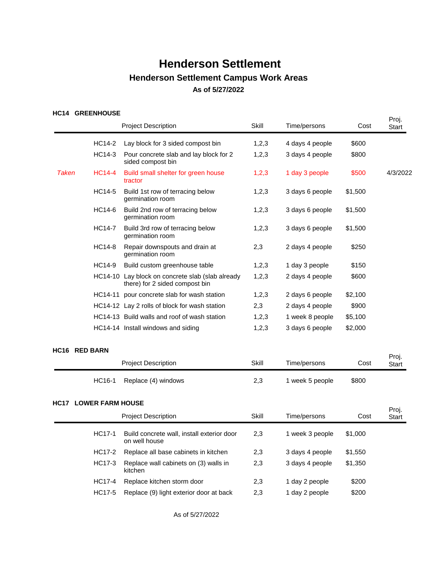### HC14 GREENHOUSE

|       | NVI4 UNEENNUUJE              | <b>Project Description</b>                                                         | Skill        | Time/persons    | Cost    | Proj.<br><b>Start</b> |
|-------|------------------------------|------------------------------------------------------------------------------------|--------------|-----------------|---------|-----------------------|
|       | HC14-2                       | Lay block for 3 sided compost bin                                                  | 1,2,3        | 4 days 4 people | \$600   |                       |
|       | HC14-3                       | Pour concrete slab and lay block for 2<br>sided compost bin                        | 1,2,3        | 3 days 4 people | \$800   |                       |
| Taken | <b>HC14-4</b>                | Build small shelter for green house<br>tractor                                     | 1,2,3        | 1 day 3 people  | \$500   | 4/3/2022              |
|       | HC14-5                       | Build 1st row of terracing below<br>germination room                               | 1,2,3        | 3 days 6 people | \$1,500 |                       |
|       | HC14-6                       | Build 2nd row of terracing below<br>germination room                               | 1,2,3        | 3 days 6 people | \$1,500 |                       |
|       | <b>HC14-7</b>                | Build 3rd row of terracing below<br>germination room                               | 1,2,3        | 3 days 6 people | \$1,500 |                       |
|       | <b>HC14-8</b>                | Repair downspouts and drain at<br>germination room                                 | 2,3          | 2 days 4 people | \$250   |                       |
|       | HC14-9                       | Build custom greenhouse table                                                      | 1,2,3        | 1 day 3 people  | \$150   |                       |
|       |                              | HC14-10 Lay block on concrete slab (slab already<br>there) for 2 sided compost bin | 1,2,3        | 2 days 4 people | \$600   |                       |
|       |                              | HC14-11 pour concrete slab for wash station                                        | 1,2,3        | 2 days 6 people | \$2,100 |                       |
|       |                              | HC14-12 Lay 2 rolls of block for wash station                                      | 2,3          | 2 days 4 people | \$900   |                       |
|       |                              | HC14-13 Build walls and roof of wash station                                       | 1,2,3        | 1 week 8 people | \$5,100 |                       |
|       |                              | HC14-14 Install windows and siding                                                 | 1,2,3        | 3 days 6 people | \$2,000 |                       |
|       | <b>HC16 RED BARN</b>         |                                                                                    |              |                 |         |                       |
|       |                              | <b>Project Description</b>                                                         | <b>Skill</b> | Time/persons    | Cost    | Proj.<br>Start        |
|       | HC16-1                       | Replace (4) windows                                                                | 2,3          | 1 week 5 people | \$800   |                       |
|       | <b>HC17 LOWER FARM HOUSE</b> |                                                                                    |              |                 |         |                       |
|       |                              | <b>Project Description</b>                                                         | Skill        | Time/persons    | Cost    | Proj.<br><b>Start</b> |
|       | <b>HC17-1</b>                | Build concrete wall, install exterior door<br>on well house                        | 2,3          | 1 week 3 people | \$1,000 |                       |
|       | HC17-2                       | Replace all base cabinets in kitchen                                               | 2,3          | 3 days 4 people | \$1,550 |                       |
|       | <b>HC17-3</b>                | Replace wall cabinets on (3) walls in<br>kitchen                                   | 2,3          | 3 days 4 people | \$1,350 |                       |
|       | <b>HC17-4</b>                | Replace kitchen storm door                                                         | 2,3          | 1 day 2 people  | \$200   |                       |
|       | <b>HC17-5</b>                | Replace (9) light exterior door at back                                            | 2,3          | 1 day 2 people  | \$200   |                       |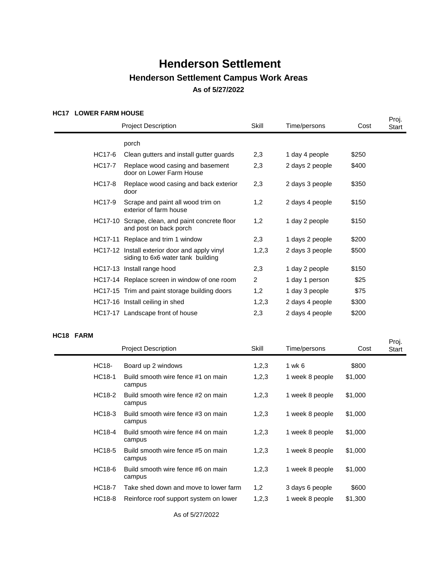### **HC17 LOWER FARM HOUSE**

|               |                                                              |                                                                                                                                                                                                                                                                                                                                                                           |                 |       | Proj. |
|---------------|--------------------------------------------------------------|---------------------------------------------------------------------------------------------------------------------------------------------------------------------------------------------------------------------------------------------------------------------------------------------------------------------------------------------------------------------------|-----------------|-------|-------|
|               |                                                              | Skill                                                                                                                                                                                                                                                                                                                                                                     | Time/persons    | Cost  | Start |
|               | porch                                                        |                                                                                                                                                                                                                                                                                                                                                                           |                 |       |       |
| HC17-6        | Clean gutters and install gutter guards                      | 2,3                                                                                                                                                                                                                                                                                                                                                                       | 1 day 4 people  | \$250 |       |
| <b>HC17-7</b> | Replace wood casing and basement<br>door on Lower Farm House | 2,3                                                                                                                                                                                                                                                                                                                                                                       | 2 days 2 people | \$400 |       |
| HC17-8        | Replace wood casing and back exterior<br>door                | 2,3                                                                                                                                                                                                                                                                                                                                                                       | 2 days 3 people | \$350 |       |
| HC17-9        | Scrape and paint all wood trim on<br>exterior of farm house  | 1,2                                                                                                                                                                                                                                                                                                                                                                       | 2 days 4 people | \$150 |       |
|               | and post on back porch                                       | 1,2                                                                                                                                                                                                                                                                                                                                                                       | 1 day 2 people  | \$150 |       |
|               |                                                              | 2,3                                                                                                                                                                                                                                                                                                                                                                       | 1 days 2 people | \$200 |       |
|               | siding to 6x6 water tank building                            | 1,2,3                                                                                                                                                                                                                                                                                                                                                                     | 2 days 3 people | \$500 |       |
|               |                                                              | 2,3                                                                                                                                                                                                                                                                                                                                                                       | 1 day 2 people  | \$150 |       |
|               |                                                              | $\overline{2}$                                                                                                                                                                                                                                                                                                                                                            | 1 day 1 person  | \$25  |       |
|               |                                                              | 1,2                                                                                                                                                                                                                                                                                                                                                                       | 1 day 3 people  | \$75  |       |
|               |                                                              | 1,2,3                                                                                                                                                                                                                                                                                                                                                                     | 2 days 4 people | \$300 |       |
|               |                                                              | 2,3                                                                                                                                                                                                                                                                                                                                                                       | 2 days 4 people | \$200 |       |
|               |                                                              | <b>Project Description</b><br>HC17-10 Scrape, clean, and paint concrete floor<br>HC17-11 Replace and trim 1 window<br>HC17-12 Install exterior door and apply vinyl<br>HC17-13 Install range hood<br>HC17-14 Replace screen in window of one room<br>HC17-15 Trim and paint storage building doors<br>HC17-16 Install ceiling in shed<br>HC17-17 Landscape front of house |                 |       |       |

#### HC18 FARM

| v 1 v<br>$\blacksquare$ |               |                                              |       |                 |         | Proj. |
|-------------------------|---------------|----------------------------------------------|-------|-----------------|---------|-------|
|                         |               | <b>Project Description</b>                   | Skill | Time/persons    | Cost    | Start |
|                         | HC18-         | Board up 2 windows                           | 1,2,3 | 1 wk 6          | \$800   |       |
|                         | HC18-1        | Build smooth wire fence #1 on main<br>campus | 1,2,3 | 1 week 8 people | \$1,000 |       |
|                         | HC18-2        | Build smooth wire fence #2 on main<br>campus | 1,2,3 | 1 week 8 people | \$1,000 |       |
|                         | HC18-3        | Build smooth wire fence #3 on main<br>campus | 1,2,3 | 1 week 8 people | \$1,000 |       |
|                         | HC18-4        | Build smooth wire fence #4 on main<br>campus | 1,2,3 | 1 week 8 people | \$1,000 |       |
|                         | HC18-5        | Build smooth wire fence #5 on main<br>campus | 1,2,3 | 1 week 8 people | \$1,000 |       |
|                         | HC18-6        | Build smooth wire fence #6 on main<br>campus | 1,2,3 | 1 week 8 people | \$1,000 |       |
|                         | <b>HC18-7</b> | Take shed down and move to lower farm        | 1,2   | 3 days 6 people | \$600   |       |
|                         | HC18-8        | Reinforce roof support system on lower       | 1,2,3 | 1 week 8 people | \$1,300 |       |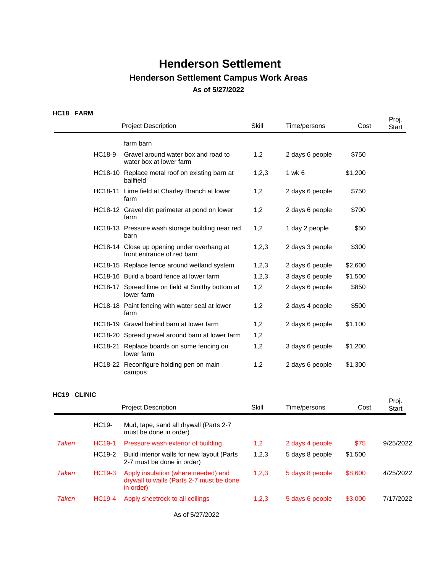### HC18 FARM

|               |                                                                          |       |                 |         | Proj. |
|---------------|--------------------------------------------------------------------------|-------|-----------------|---------|-------|
|               | <b>Project Description</b>                                               | Skill | Time/persons    | Cost    | Start |
|               | farm barn                                                                |       |                 |         |       |
| <b>HC18-9</b> | Gravel around water box and road to<br>water box at lower farm           | 1,2   | 2 days 6 people | \$750   |       |
|               | HC18-10 Replace metal roof on existing barn at<br>ballfield              | 1,2,3 | 1 wk 6          | \$1,200 |       |
|               | HC18-11 Lime field at Charley Branch at lower<br>farm                    | 1,2   | 2 days 6 people | \$750   |       |
|               | HC18-12 Gravel dirt perimeter at pond on lower<br>farm                   | 1,2   | 2 days 6 people | \$700   |       |
|               | HC18-13 Pressure wash storage building near red<br>barn                  | 1,2   | 1 day 2 people  | \$50    |       |
|               | HC18-14 Close up opening under overhang at<br>front entrance of red barn | 1,2,3 | 2 days 3 people | \$300   |       |
|               | HC18-15 Replace fence around wetland system                              | 1,2,3 | 2 days 6 people | \$2,600 |       |
|               | HC18-16 Build a board fence at lower farm                                | 1,2,3 | 3 days 6 people | \$1,500 |       |
|               | HC18-17 Spread lime on field at Smithy bottom at<br>lower farm           | 1,2   | 2 days 6 people | \$850   |       |
|               | HC18-18 Paint fencing with water seal at lower<br>farm                   | 1,2   | 2 days 4 people | \$500   |       |
|               | HC18-19 Gravel behind barn at lower farm                                 | 1,2   | 2 days 6 people | \$1,100 |       |
|               | HC18-20 Spread gravel around barn at lower farm                          | 1,2   |                 |         |       |
|               | HC18-21 Replace boards on some fencing on<br>lower farm                  | 1,2   | 3 days 6 people | \$1,200 |       |
|               | HC18-22 Reconfigure holding pen on main<br>campus                        | 1,2   | 2 days 6 people | \$1,300 |       |
|               |                                                                          |       |                 |         |       |

### **HC19 CLINIC**

| .     |                    | <b>Project Description</b>                                                                   | Skill | Time/persons    | Cost    | Proj.<br><b>Start</b> |
|-------|--------------------|----------------------------------------------------------------------------------------------|-------|-----------------|---------|-----------------------|
|       | HC19-              | Mud, tape, sand all drywall (Parts 2-7<br>must be done in order)                             |       |                 |         |                       |
| Taken | HC <sub>19-1</sub> | Pressure wash exterior of building                                                           | 1,2   | 2 days 4 people | \$75    | 9/25/2022             |
|       | HC19-2             | Build interior walls for new layout (Parts<br>2-7 must be done in order)                     | 1,2,3 | 5 days 8 people | \$1,500 |                       |
| Taken | HC <sub>19-3</sub> | Apply insulation (where needed) and<br>drywall to walls (Parts 2-7 must be done<br>in order) | 1,2,3 | 5 days 8 people | \$8,600 | 4/25/2022             |
| Taken | <b>HC19-4</b>      | Apply sheetrock to all ceilings                                                              | 1,2,3 | 5 days 6 people | \$3,000 | 7/17/2022             |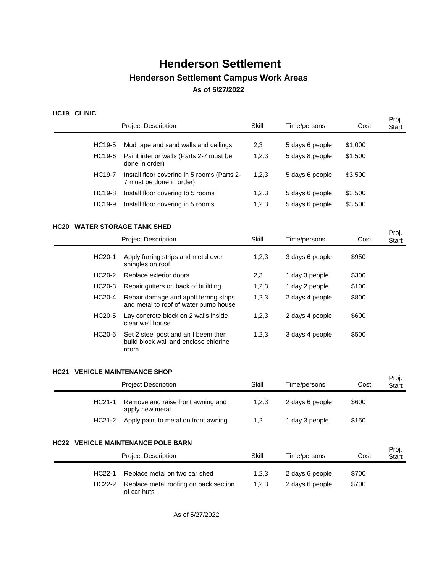## **HC19 CLINIC**

|             |               | <b>Project Description</b>                                                           | Skill        | Time/persons    | Cost    | Proj.<br><b>Start</b> |
|-------------|---------------|--------------------------------------------------------------------------------------|--------------|-----------------|---------|-----------------------|
|             | HC19-5        | Mud tape and sand walls and ceilings                                                 | 2,3          | 5 days 6 people | \$1,000 |                       |
|             | HC19-6        | Paint interior walls (Parts 2-7 must be<br>done in order)                            | 1,2,3        | 5 days 8 people | \$1,500 |                       |
|             | HC19-7        | Install floor covering in 5 rooms (Parts 2-<br>7 must be done in order)              | 1,2,3        | 5 days 6 people | \$3,500 |                       |
|             | <b>HC19-8</b> | Install floor covering to 5 rooms                                                    | 1,2,3        | 5 days 6 people | \$3,500 |                       |
|             | HC19-9        | Install floor covering in 5 rooms                                                    | 1,2,3        | 5 days 6 people | \$3,500 |                       |
|             |               | <b>HC20 WATER STORAGE TANK SHED</b>                                                  |              |                 |         |                       |
|             |               | <b>Project Description</b>                                                           | Skill        | Time/persons    | Cost    | Proj.<br><b>Start</b> |
|             | HC20-1        | Apply furring strips and metal over<br>shingles on roof                              | 1,2,3        | 3 days 6 people | \$950   |                       |
|             | HC20-2        | Replace exterior doors                                                               | 2,3          | 1 day 3 people  | \$300   |                       |
|             | HC20-3        | Repair gutters on back of building                                                   | 1,2,3        | 1 day 2 people  | \$100   |                       |
|             | HC20-4        | Repair damage and applt ferring strips<br>and metal to roof of water pump house      | 1,2,3        | 2 days 4 people | \$800   |                       |
|             | HC20-5        | Lay concrete block on 2 walls inside<br>clear well house                             | 1,2,3        | 2 days 4 people | \$600   |                       |
|             | HC20-6        | Set 2 steel post and an I beem then<br>build block wall and enclose chlorine<br>room | 1,2,3        | 3 days 4 people | \$500   |                       |
| <b>HC21</b> |               | <b>VEHICLE MAINTENANCE SHOP</b>                                                      |              |                 |         |                       |
|             |               | <b>Project Description</b>                                                           | Skill        | Time/persons    | Cost    | Proj.<br>Start        |
|             | HC21-1        | Remove and raise front awning and<br>apply new metal                                 | 1,2,3        | 2 days 6 people | \$600   |                       |
|             | HC21-2        | Apply paint to metal on front awning                                                 | 1,2          | 1 day 3 people  | \$150   |                       |
|             |               | <b>HC22 VEHICLE MAINTENANCE POLE BARN</b>                                            |              |                 |         |                       |
|             |               | <b>Project Description</b>                                                           | <b>Skill</b> | Time/persons    | Cost    | Proj.<br>Start        |
|             | HC22-1        | Replace metal on two car shed                                                        | 1,2,3        | 2 days 6 people | \$700   |                       |
|             | <b>HC22-2</b> | Replace metal roofing on back section<br>of car huts                                 | 1,2,3        | 2 days 6 people | \$700   |                       |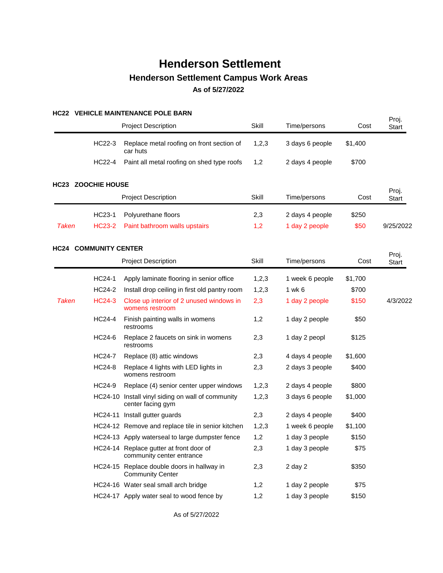### **HC22 VEHICLE MAINTENANCE POLE BARN**

|              |                              | <b>Project Description</b>                                             | Skill | Time/persons    | Cost    | Proj.<br><b>Start</b> |
|--------------|------------------------------|------------------------------------------------------------------------|-------|-----------------|---------|-----------------------|
|              | HC22-3                       | Replace metal roofing on front section of<br>car huts                  | 1,2,3 | 3 days 6 people | \$1,400 |                       |
|              | <b>HC22-4</b>                | Paint all metal roofing on shed type roofs                             | 1,2   | 2 days 4 people | \$700   |                       |
|              | <b>HC23 ZOOCHIE HOUSE</b>    |                                                                        |       |                 |         |                       |
|              |                              | <b>Project Description</b>                                             | Skill | Time/persons    | Cost    | Proj.<br><b>Start</b> |
|              | HC23-1                       | Polyurethane floors                                                    | 2,3   | 2 days 4 people | \$250   |                       |
| <b>Taken</b> | <b>HC23-2</b>                | Paint bathroom walls upstairs                                          | 1,2   | 1 day 2 people  | \$50    | 9/25/2022             |
|              | <b>HC24 COMMUNITY CENTER</b> |                                                                        |       |                 |         |                       |
|              |                              | <b>Project Description</b>                                             | Skill | Time/persons    | Cost    | Proj.<br><b>Start</b> |
|              | HC24-1                       | Apply laminate flooring in senior office                               | 1,2,3 | 1 week 6 people | \$1,700 |                       |
|              | <b>HC24-2</b>                | Install drop ceiling in first old pantry room                          | 1,2,3 | 1 wk 6          | \$700   |                       |
| <b>Taken</b> | <b>HC24-3</b>                | Close up interior of 2 unused windows in<br>womens restroom            | 2,3   | 1 day 2 people  | \$150   | 4/3/2022              |
|              | <b>HC24-4</b>                | Finish painting walls in womens<br>restrooms                           | 1,2   | 1 day 2 people  | \$50    |                       |
|              | HC24-6                       | Replace 2 faucets on sink in womens<br>restrooms                       | 2,3   | 1 day 2 peopl   | \$125   |                       |
|              | <b>HC24-7</b>                | Replace (8) attic windows                                              | 2,3   | 4 days 4 people | \$1,600 |                       |
|              | <b>HC24-8</b>                | Replace 4 lights with LED lights in<br>womens restroom                 | 2,3   | 2 days 3 people | \$400   |                       |
|              | HC24-9                       | Replace (4) senior center upper windows                                | 1,2,3 | 2 days 4 people | \$800   |                       |
|              |                              | HC24-10 Install vinyl siding on wall of community<br>center facing gym | 1,2,3 | 3 days 6 people | \$1,000 |                       |
|              |                              | HC24-11 Install gutter guards                                          | 2,3   | 2 days 4 people | \$400   |                       |
|              |                              | HC24-12 Remove and replace tile in senior kitchen                      | 1,2,3 | 1 week 6 people | \$1,100 |                       |
|              |                              | HC24-13 Apply waterseal to large dumpster fence                        | 1,2   | 1 day 3 people  | \$150   |                       |
|              |                              | HC24-14 Replace gutter at front door of<br>community center entrance   | 2,3   | 1 day 3 people  | \$75    |                       |
|              |                              | HC24-15 Replace double doors in hallway in<br><b>Community Center</b>  | 2,3   | $2$ day $2$     | \$350   |                       |
|              |                              | HC24-16 Water seal small arch bridge                                   | 1,2   | 1 day 2 people  | \$75    |                       |
|              |                              | HC24-17 Apply water seal to wood fence by                              | 1,2   | 1 day 3 people  | \$150   |                       |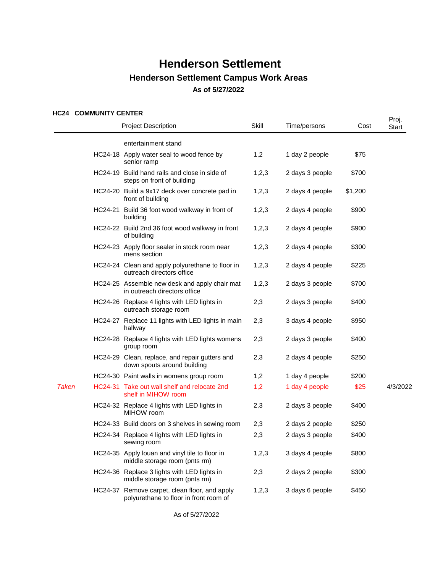### **HC24 COMMUNITY CENTER**

|              | 1624 COMMONTI CENTER | <b>Project Description</b>                                                              | Skill   | Time/persons    | Cost    | Proj.<br>Start |
|--------------|----------------------|-----------------------------------------------------------------------------------------|---------|-----------------|---------|----------------|
|              |                      | entertainment stand                                                                     |         |                 |         |                |
|              |                      | HC24-18 Apply water seal to wood fence by<br>senior ramp                                | 1,2     | 1 day 2 people  | \$75    |                |
|              |                      | HC24-19 Build hand rails and close in side of<br>steps on front of building             | 1, 2, 3 | 2 days 3 people | \$700   |                |
|              |                      | HC24-20 Build a 9x17 deck over concrete pad in<br>front of building                     | 1,2,3   | 2 days 4 people | \$1,200 |                |
|              |                      | HC24-21 Build 36 foot wood walkway in front of<br>building                              | 1,2,3   | 2 days 4 people | \$900   |                |
|              |                      | HC24-22 Build 2nd 36 foot wood walkway in front<br>of building                          | 1,2,3   | 2 days 4 people | \$900   |                |
|              |                      | HC24-23 Apply floor sealer in stock room near<br>mens section                           | 1, 2, 3 | 2 days 4 people | \$300   |                |
|              |                      | HC24-24 Clean and apply polyurethane to floor in<br>outreach directors office           | 1,2,3   | 2 days 4 people | \$225   |                |
|              |                      | HC24-25 Assemble new desk and apply chair mat<br>in outreach directors office           | 1,2,3   | 2 days 3 people | \$700   |                |
|              |                      | HC24-26 Replace 4 lights with LED lights in<br>outreach storage room                    | 2,3     | 2 days 3 people | \$400   |                |
|              |                      | HC24-27 Replace 11 lights with LED lights in main<br>hallway                            | 2,3     | 3 days 4 people | \$950   |                |
|              |                      | HC24-28 Replace 4 lights with LED lights womens<br>group room                           | 2,3     | 2 days 3 people | \$400   |                |
|              |                      | HC24-29 Clean, replace, and repair gutters and<br>down spouts around building           | 2,3     | 2 days 4 people | \$250   |                |
|              |                      | HC24-30 Paint walls in womens group room                                                | 1,2     | 1 day 4 people  | \$200   |                |
| <b>Taken</b> |                      | HC24-31 Take out wall shelf and relocate 2nd<br>shelf in MIHOW room                     | 1,2     | 1 day 4 people  | \$25    | 4/3/2022       |
|              |                      | HC24-32 Replace 4 lights with LED lights in<br>MIHOW room                               | 2,3     | 2 days 3 people | \$400   |                |
|              |                      | HC24-33 Build doors on 3 shelves in sewing room                                         | 2,3     | 2 days 2 people | \$250   |                |
|              |                      | HC24-34 Replace 4 lights with LED lights in<br>sewing room                              | 2,3     | 2 days 3 people | \$400   |                |
|              |                      | HC24-35 Apply louan and vinyl tile to floor in<br>middle storage room (pnts rm)         | 1,2,3   | 3 days 4 people | \$800   |                |
|              |                      | HC24-36 Replace 3 lights with LED lights in<br>middle storage room (pnts rm)            | 2,3     | 2 days 2 people | \$300   |                |
|              |                      | HC24-37 Remove carpet, clean floor, and apply<br>polyurethane to floor in front room of | 1,2,3   | 3 days 6 people | \$450   |                |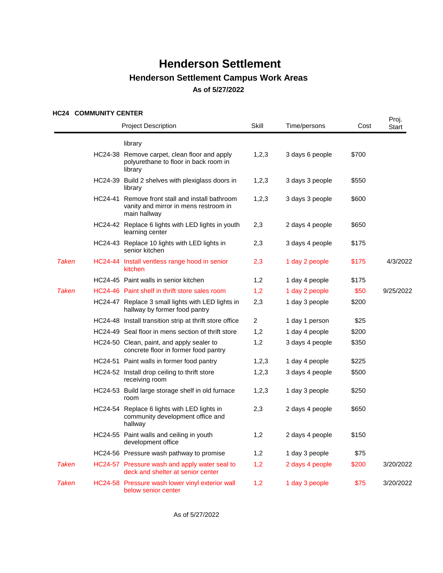### **HC24 COMMUNITY CENTER**

|              | NUZ4 UUMMUNIIIUCNIER | <b>Project Description</b>                                                                               | Skill | Time/persons    | Cost  | Proj.<br>Start |
|--------------|----------------------|----------------------------------------------------------------------------------------------------------|-------|-----------------|-------|----------------|
|              |                      | library                                                                                                  |       |                 |       |                |
|              | HC24-38              | Remove carpet, clean floor and apply<br>polyurethane to floor in back room in<br>library                 | 1,2,3 | 3 days 6 people | \$700 |                |
|              |                      | HC24-39 Build 2 shelves with plexiglass doors in<br>library                                              | 1,2,3 | 3 days 3 people | \$550 |                |
|              |                      | HC24-41 Remove front stall and install bathroom<br>vanity and mirror in mens restroom in<br>main hallway | 1,2,3 | 3 days 3 people | \$600 |                |
|              |                      | HC24-42 Replace 6 lights with LED lights in youth<br>learning center                                     | 2,3   | 2 days 4 people | \$650 |                |
|              |                      | HC24-43 Replace 10 lights with LED lights in<br>senior kitchen                                           | 2,3   | 3 days 4 people | \$175 |                |
| <b>Taken</b> |                      | HC24-44 Install ventless range hood in senior<br>kitchen                                                 | 2,3   | 1 day 2 people  | \$175 | 4/3/2022       |
|              |                      | HC24-45 Paint walls in senior kitchen                                                                    | 1,2   | 1 day 4 people  | \$175 |                |
| <b>Taken</b> |                      | HC24-46 Paint shelf in thrift store sales room                                                           | 1,2   | 1 day 2 people  | \$50  | 9/25/2022      |
|              |                      | HC24-47 Replace 3 small lights with LED lights in<br>hallway by former food pantry                       | 2,3   | 1 day 3 people  | \$200 |                |
|              |                      | HC24-48 Install transition strip at thrift store office                                                  | 2     | 1 day 1 person  | \$25  |                |
|              |                      | HC24-49 Seal floor in mens section of thrift store                                                       | 1,2   | 1 day 4 people  | \$200 |                |
|              |                      | HC24-50 Clean, paint, and apply sealer to<br>concrete floor in former food pantry                        | 1,2   | 3 days 4 people | \$350 |                |
|              |                      | HC24-51 Paint walls in former food pantry                                                                | 1,2,3 | 1 day 4 people  | \$225 |                |
|              |                      | HC24-52 Install drop ceiling to thrift store<br>receiving room                                           | 1,2,3 | 3 days 4 people | \$500 |                |
|              |                      | HC24-53 Build large storage shelf in old furnace<br>room                                                 | 1,2,3 | 1 day 3 people  | \$250 |                |
|              |                      | HC24-54 Replace 6 lights with LED lights in<br>community development office and<br>hallway               | 2,3   | 2 days 4 people | \$650 |                |
|              |                      | HC24-55 Paint walls and ceiling in youth<br>development office                                           | 1,2   | 2 days 4 people | \$150 |                |
|              |                      | HC24-56 Pressure wash pathway to promise                                                                 | 1,2   | 1 day 3 people  | \$75  |                |
| <b>Taken</b> |                      | HC24-57 Pressure wash and apply water seal to<br>deck and shelter at senior center                       | 1,2   | 2 days 4 people | \$200 | 3/20/2022      |
| <b>Taken</b> |                      | HC24-58 Pressure wash lower vinyl exterior wall<br>below senior center                                   | 1,2   | 1 day 3 people  | \$75  | 3/20/2022      |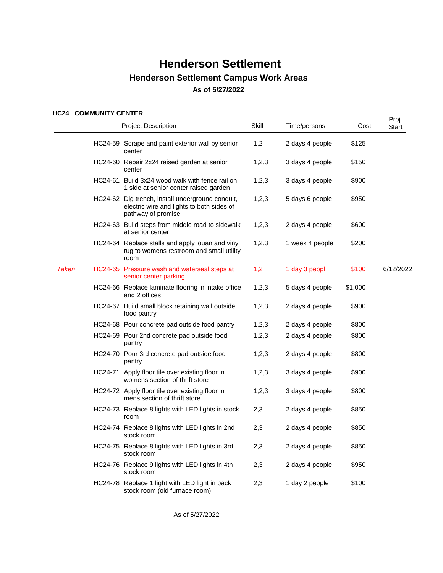### **HC24 COMMUNITY CENTER**

|              | NGLA COMMONILI CENTER | <b>Project Description</b>                                                                                          | Skill | Time/persons    | Cost    | Proj.<br>Start |
|--------------|-----------------------|---------------------------------------------------------------------------------------------------------------------|-------|-----------------|---------|----------------|
|              |                       | HC24-59 Scrape and paint exterior wall by senior<br>center                                                          | 1,2   | 2 days 4 people | \$125   |                |
|              |                       | HC24-60 Repair 2x24 raised garden at senior<br>center                                                               | 1,2,3 | 3 days 4 people | \$150   |                |
|              | HC24-61               | Build 3x24 wood walk with fence rail on<br>1 side at senior center raised garden                                    | 1,2,3 | 3 days 4 people | \$900   |                |
|              |                       | HC24-62 Dig trench, install underground conduit,<br>electric wire and lights to both sides of<br>pathway of promise | 1,2,3 | 5 days 6 people | \$950   |                |
|              |                       | HC24-63 Build steps from middle road to sidewalk<br>at senior center                                                | 1,2,3 | 2 days 4 people | \$600   |                |
|              |                       | HC24-64 Replace stalls and apply louan and vinyl<br>rug to womens restroom and small utility<br>room                | 1,2,3 | 1 week 4 people | \$200   |                |
| <b>Taken</b> |                       | HC24-65 Pressure wash and waterseal steps at<br>senior center parking                                               | 1,2   | 1 day 3 peopl   | \$100   | 6/12/2022      |
|              |                       | HC24-66 Replace laminate flooring in intake office<br>and 2 offices                                                 | 1,2,3 | 5 days 4 people | \$1,000 |                |
|              |                       | HC24-67 Build small block retaining wall outside<br>food pantry                                                     | 1,2,3 | 2 days 4 people | \$900   |                |
|              |                       | HC24-68 Pour concrete pad outside food pantry                                                                       | 1,2,3 | 2 days 4 people | \$800   |                |
|              |                       | HC24-69 Pour 2nd concrete pad outside food<br>pantry                                                                | 1,2,3 | 2 days 4 people | \$800   |                |
|              |                       | HC24-70 Pour 3rd concrete pad outside food<br>pantry                                                                | 1,2,3 | 2 days 4 people | \$800   |                |
|              |                       | HC24-71 Apply floor tile over existing floor in<br>womens section of thrift store                                   | 1,2,3 | 3 days 4 people | \$900   |                |
|              |                       | HC24-72 Apply floor tile over existing floor in<br>mens section of thrift store                                     | 1,2,3 | 3 days 4 people | \$800   |                |
|              |                       | HC24-73 Replace 8 lights with LED lights in stock<br>room                                                           | 2,3   | 2 days 4 people | \$850   |                |
|              |                       | HC24-74 Replace 8 lights with LED lights in 2nd<br>stock room                                                       | 2,3   | 2 days 4 people | \$850   |                |
|              |                       | HC24-75 Replace 8 lights with LED lights in 3rd<br>stock room                                                       | 2,3   | 2 days 4 people | \$850   |                |
|              |                       | HC24-76 Replace 9 lights with LED lights in 4th<br>stock room                                                       | 2,3   | 2 days 4 people | \$950   |                |
|              |                       | HC24-78 Replace 1 light with LED light in back<br>stock room (old furnace room)                                     | 2,3   | 1 day 2 people  | \$100   |                |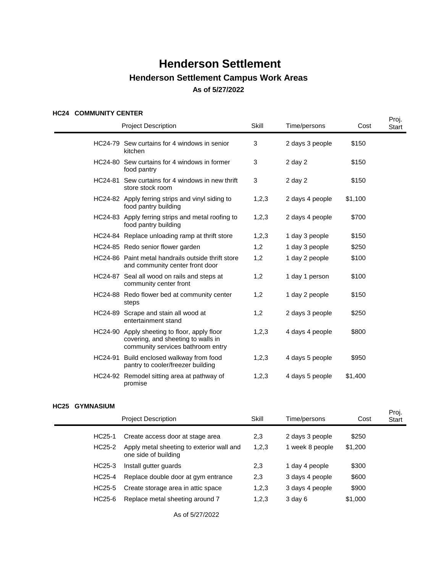### **HC24 COMMUNITY CENTER**

|  |                                                                                                                         |       |                 |         | Proj. |
|--|-------------------------------------------------------------------------------------------------------------------------|-------|-----------------|---------|-------|
|  | <b>Project Description</b>                                                                                              | Skill | Time/persons    | Cost    | Start |
|  | HC24-79 Sew curtains for 4 windows in senior<br>kitchen                                                                 | 3     | 2 days 3 people | \$150   |       |
|  | HC24-80 Sew curtains for 4 windows in former<br>food pantry                                                             | 3     | $2$ day $2$     | \$150   |       |
|  | HC24-81 Sew curtains for 4 windows in new thrift<br>store stock room                                                    | 3     | $2$ day $2$     | \$150   |       |
|  | HC24-82 Apply ferring strips and vinyl siding to<br>food pantry building                                                | 1,2,3 | 2 days 4 people | \$1,100 |       |
|  | HC24-83 Apply ferring strips and metal roofing to<br>food pantry building                                               | 1,2,3 | 2 days 4 people | \$700   |       |
|  | HC24-84 Replace unloading ramp at thrift store                                                                          | 1,2,3 | 1 day 3 people  | \$150   |       |
|  | HC24-85 Redo senior flower garden                                                                                       | 1,2   | 1 day 3 people  | \$250   |       |
|  | HC24-86 Paint metal handrails outside thrift store<br>and community center front door                                   | 1,2   | 1 day 2 people  | \$100   |       |
|  | HC24-87 Seal all wood on rails and steps at<br>community center front                                                   | 1,2   | 1 day 1 person  | \$100   |       |
|  | HC24-88 Redo flower bed at community center<br>steps                                                                    | 1,2   | 1 day 2 people  | \$150   |       |
|  | HC24-89 Scrape and stain all wood at<br>entertainment stand                                                             | 1,2   | 2 days 3 people | \$250   |       |
|  | HC24-90 Apply sheeting to floor, apply floor<br>covering, and sheeting to walls in<br>community services bathroom entry | 1,2,3 | 4 days 4 people | \$800   |       |
|  | HC24-91 Build enclosed walkway from food<br>pantry to cooler/freezer building                                           | 1,2,3 | 4 days 5 people | \$950   |       |
|  | HC24-92 Remodel sitting area at pathway of<br>promise                                                                   | 1,2,3 | 4 days 5 people | \$1,400 |       |

### **HC25 GYMNASIUM**

|                     | <b>Project Description</b>                                        | Skill | Time/persons    | Cost    | Proj.<br><b>Start</b> |
|---------------------|-------------------------------------------------------------------|-------|-----------------|---------|-----------------------|
| HC <sub>25</sub> -1 | Create access door at stage area                                  | 2,3   | 2 days 3 people | \$250   |                       |
| HC25-2              | Apply metal sheeting to exterior wall and<br>one side of building | 1,2,3 | 1 week 8 people | \$1,200 |                       |
| HC25-3              | Install gutter guards                                             | 2,3   | 1 day 4 people  | \$300   |                       |
| HC25-4              | Replace double door at gym entrance                               | 2,3   | 3 days 4 people | \$600   |                       |
| HC <sub>25</sub> -5 | Create storage area in attic space                                | 1,2,3 | 3 days 4 people | \$900   |                       |
| HC25-6              | Replace metal sheeting around 7                                   | 1,2,3 | $3$ day $6$     | \$1,000 |                       |
|                     |                                                                   |       |                 |         |                       |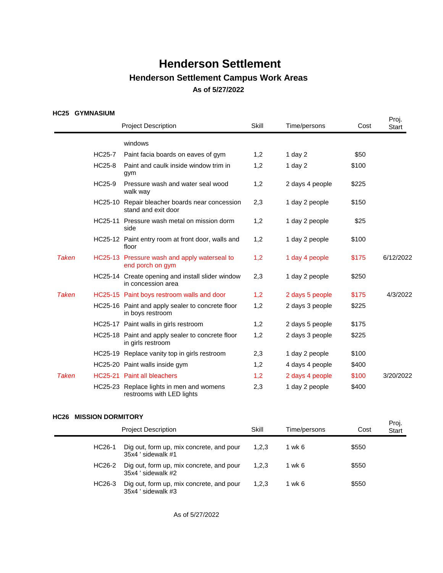### **HC25 GYMNASIUM**

| טגעו         | ועוטוטמאוועו דט | <b>Project Description</b>                                             | Skill | Time/persons    | Cost  | Proj.<br><b>Start</b> |
|--------------|-----------------|------------------------------------------------------------------------|-------|-----------------|-------|-----------------------|
|              |                 | windows                                                                |       |                 |       |                       |
|              | <b>HC25-7</b>   | Paint facia boards on eaves of gym                                     | 1,2   | 1 day $2$       | \$50  |                       |
|              | <b>HC25-8</b>   | Paint and caulk inside window trim in<br>gym                           | 1,2   | 1 day $2$       | \$100 |                       |
|              | HC25-9          | Pressure wash and water seal wood<br>walk way                          | 1,2   | 2 days 4 people | \$225 |                       |
|              |                 | HC25-10 Repair bleacher boards near concession<br>stand and exit door  | 2,3   | 1 day 2 people  | \$150 |                       |
|              |                 | HC25-11 Pressure wash metal on mission dorm<br>side                    | 1,2   | 1 day 2 people  | \$25  |                       |
|              |                 | HC25-12 Paint entry room at front door, walls and<br>floor             | 1,2   | 1 day 2 people  | \$100 |                       |
| <b>Taken</b> |                 | HC25-13 Pressure wash and apply waterseal to<br>end porch on gym       | 1,2   | 1 day 4 people  | \$175 | 6/12/2022             |
|              |                 | HC25-14 Create opening and install slider window<br>in concession area | 2,3   | 1 day 2 people  | \$250 |                       |
| <b>Taken</b> |                 | HC25-15 Paint boys restroom walls and door                             | 1,2   | 2 days 5 people | \$175 | 4/3/2022              |
|              |                 | HC25-16 Paint and apply sealer to concrete floor<br>in boys restroom   | 1,2   | 2 days 3 people | \$225 |                       |
|              |                 | HC25-17 Paint walls in girls restroom                                  | 1,2   | 2 days 5 people | \$175 |                       |
|              |                 | HC25-18 Paint and apply sealer to concrete floor<br>in girls restroom  | 1,2   | 2 days 3 people | \$225 |                       |
|              |                 | HC25-19 Replace vanity top in girls restroom                           | 2,3   | 1 day 2 people  | \$100 |                       |
|              |                 | HC25-20 Paint walls inside gym                                         | 1,2   | 4 days 4 people | \$400 |                       |
| <b>Taken</b> |                 | HC25-21 Paint all bleachers                                            | 1,2   | 2 days 4 people | \$100 | 3/20/2022             |
|              |                 | HC25-23 Replace lights in men and womens<br>restrooms with LED lights  | 2,3   | 1 day 2 people  | \$400 |                       |

#### **HC26 MISSION DORMITORY**

| <b>Project Description</b> |                                                                | Skill | Time/persons | Cost  | Proj.<br><b>Start</b> |
|----------------------------|----------------------------------------------------------------|-------|--------------|-------|-----------------------|
| HC <sub>26</sub> -1        | Dig out, form up, mix concrete, and pour<br>35x4 ' sidewalk #1 | 1,2,3 | 1 wk 6       | \$550 |                       |
| HC26-2                     | Dig out, form up, mix concrete, and pour<br>35x4 sidewalk #2   | 1,2,3 | 1 wk 6       | \$550 |                       |
| HC26-3                     | Dig out, form up, mix concrete, and pour<br>35x4 'sidewalk #3  | 1,2,3 | 1 wk 6       | \$550 |                       |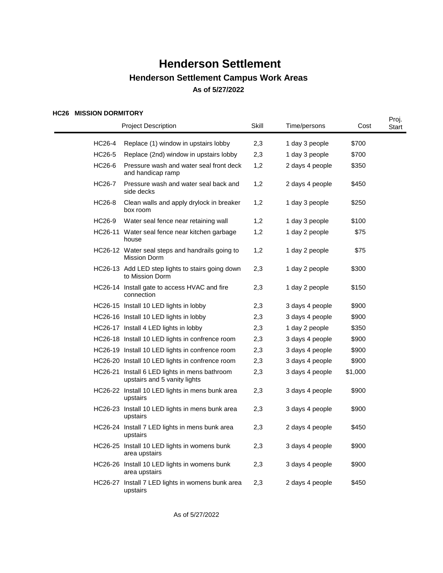### **HC26 MISSION DORMITORY**

| ו חטוווחטש וושוטסוויו שגטח | <b>Project Description</b>                                                    | Skill | Time/persons    | Cost    | Proj.<br><b>Start</b> |
|----------------------------|-------------------------------------------------------------------------------|-------|-----------------|---------|-----------------------|
| HC26-4                     | Replace (1) window in upstairs lobby                                          | 2,3   | 1 day 3 people  | \$700   |                       |
| <b>HC26-5</b>              | Replace (2nd) window in upstairs lobby                                        | 2,3   | 1 day 3 people  | \$700   |                       |
| HC26-6                     | Pressure wash and water seal front deck<br>and handicap ramp                  | 1,2   | 2 days 4 people | \$350   |                       |
| <b>HC26-7</b>              | Pressure wash and water seal back and<br>side decks                           | 1,2   | 2 days 4 people | \$450   |                       |
| HC26-8                     | Clean walls and apply drylock in breaker<br>box room                          | 1,2   | 1 day 3 people  | \$250   |                       |
| HC26-9                     | Water seal fence near retaining wall                                          | 1,2   | 1 day 3 people  | \$100   |                       |
|                            | HC26-11 Water seal fence near kitchen garbage<br>house                        | 1,2   | 1 day 2 people  | \$75    |                       |
|                            | HC26-12 Water seal steps and handrails going to<br><b>Mission Dorm</b>        | 1,2   | 1 day 2 people  | \$75    |                       |
|                            | HC26-13 Add LED step lights to stairs going down<br>to Mission Dorm           | 2,3   | 1 day 2 people  | \$300   |                       |
|                            | HC26-14 Install gate to access HVAC and fire<br>connection                    | 2,3   | 1 day 2 people  | \$150   |                       |
|                            | HC26-15 Install 10 LED lights in lobby                                        | 2,3   | 3 days 4 people | \$900   |                       |
|                            | HC26-16 Install 10 LED lights in lobby                                        | 2,3   | 3 days 4 people | \$900   |                       |
|                            | HC26-17 Install 4 LED lights in lobby                                         | 2,3   | 1 day 2 people  | \$350   |                       |
|                            | HC26-18 Install 10 LED lights in confrence room                               | 2,3   | 3 days 4 people | \$900   |                       |
|                            | HC26-19 Install 10 LED lights in confrence room                               | 2,3   | 3 days 4 people | \$900   |                       |
|                            | HC26-20 Install 10 LED lights in confrence room                               | 2,3   | 3 days 4 people | \$900   |                       |
|                            | HC26-21 Install 6 LED lights in mens bathroom<br>upstairs and 5 vanity lights | 2,3   | 3 days 4 people | \$1,000 |                       |
|                            | HC26-22 Install 10 LED lights in mens bunk area<br>upstairs                   | 2,3   | 3 days 4 people | \$900   |                       |
|                            | HC26-23 Install 10 LED lights in mens bunk area<br>upstairs                   | 2,3   | 3 days 4 people | \$900   |                       |
|                            | HC26-24 Install 7 LED lights in mens bunk area<br>upstairs                    | 2,3   | 2 days 4 people | \$450   |                       |
|                            | HC26-25 Install 10 LED lights in womens bunk<br>area upstairs                 | 2,3   | 3 days 4 people | \$900   |                       |
|                            | HC26-26 Install 10 LED lights in womens bunk<br>area upstairs                 | 2,3   | 3 days 4 people | \$900   |                       |
|                            | HC26-27 Install 7 LED lights in womens bunk area<br>upstairs                  | 2,3   | 2 days 4 people | \$450   |                       |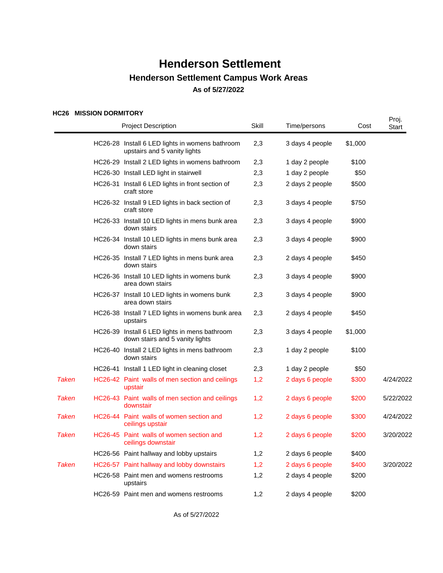### **HC26 MISSION DORMITORY**

|              | ULLO MINOIUN PURMITURT | <b>Project Description</b>                                                       | Skill | Time/persons    | Cost    | Proj.<br>Start |
|--------------|------------------------|----------------------------------------------------------------------------------|-------|-----------------|---------|----------------|
|              |                        | HC26-28 Install 6 LED lights in womens bathroom<br>upstairs and 5 vanity lights  | 2,3   | 3 days 4 people | \$1,000 |                |
|              |                        | HC26-29 Install 2 LED lights in womens bathroom                                  | 2,3   | 1 day 2 people  | \$100   |                |
|              |                        | HC26-30 Install LED light in stairwell                                           | 2,3   | 1 day 2 people  | \$50    |                |
|              |                        | HC26-31 Install 6 LED lights in front section of<br>craft store                  | 2,3   | 2 days 2 people | \$500   |                |
|              |                        | HC26-32 Install 9 LED lights in back section of<br>craft store                   | 2,3   | 3 days 4 people | \$750   |                |
|              |                        | HC26-33 Install 10 LED lights in mens bunk area<br>down stairs                   | 2,3   | 3 days 4 people | \$900   |                |
|              |                        | HC26-34 Install 10 LED lights in mens bunk area<br>down stairs                   | 2,3   | 3 days 4 people | \$900   |                |
|              |                        | HC26-35 Install 7 LED lights in mens bunk area<br>down stairs                    | 2,3   | 2 days 4 people | \$450   |                |
|              |                        | HC26-36 Install 10 LED lights in womens bunk<br>area down stairs                 | 2,3   | 3 days 4 people | \$900   |                |
|              |                        | HC26-37 Install 10 LED lights in womens bunk<br>area down stairs                 | 2,3   | 3 days 4 people | \$900   |                |
|              |                        | HC26-38 Install 7 LED lights in womens bunk area<br>upstairs                     | 2,3   | 2 days 4 people | \$450   |                |
|              |                        | HC26-39 Install 6 LED lights in mens bathroom<br>down stairs and 5 vanity lights | 2,3   | 3 days 4 people | \$1,000 |                |
|              |                        | HC26-40 Install 2 LED lights in mens bathroom<br>down stairs                     | 2,3   | 1 day 2 people  | \$100   |                |
|              |                        | HC26-41 Install 1 LED light in cleaning closet                                   | 2,3   | 1 day 2 people  | \$50    |                |
| <b>Taken</b> |                        | HC26-42 Paint walls of men section and ceilings<br>upstair                       | 1,2   | 2 days 6 people | \$300   | 4/24/2022      |
| <b>Taken</b> |                        | HC26-43 Paint walls of men section and ceilings<br>downstair                     | 1,2   | 2 days 6 people | \$200   | 5/22/2022      |
| <b>Taken</b> |                        | HC26-44 Paint walls of women section and<br>ceilings upstair                     | 1,2   | 2 days 6 people | \$300   | 4/24/2022      |
| <b>Taken</b> |                        | HC26-45 Paint walls of women section and<br>ceilings downstair                   | 1,2   | 2 days 6 people | \$200   | 3/20/2022      |
|              |                        | HC26-56 Paint hallway and lobby upstairs                                         | 1,2   | 2 days 6 people | \$400   |                |
| <b>Taken</b> |                        | HC26-57 Paint hallway and lobby downstairs                                       | 1,2   | 2 days 6 people | \$400   | 3/20/2022      |
|              |                        | HC26-58 Paint men and womens restrooms<br>upstairs                               | 1,2   | 2 days 4 people | \$200   |                |
|              |                        | HC26-59 Paint men and womens restrooms                                           | 1,2   | 2 days 4 people | \$200   |                |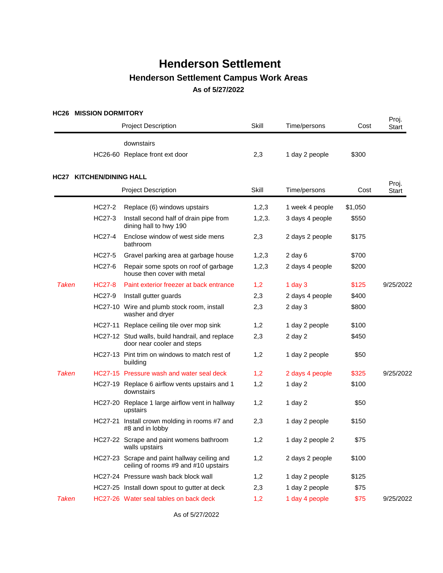### **HC26 MISSION DORMITORY**

|              |                                 | <b>Project Description</b>                                                           | Skill  | Time/persons     | Cost    | Proj.<br>Start |
|--------------|---------------------------------|--------------------------------------------------------------------------------------|--------|------------------|---------|----------------|
|              |                                 | downstairs<br>HC26-60 Replace front ext door                                         | 2,3    | 1 day 2 people   | \$300   |                |
|              | <b>HC27 KITCHEN/DINING HALL</b> |                                                                                      |        |                  |         |                |
|              |                                 | <b>Project Description</b>                                                           | Skill  | Time/persons     | Cost    | Proj.<br>Start |
|              | HC27-2                          | Replace (6) windows upstairs                                                         | 1,2,3  | 1 week 4 people  | \$1,050 |                |
|              | HC27-3                          | Install second half of drain pipe from<br>dining hall to hwy 190                     | 1,2,3. | 3 days 4 people  | \$550   |                |
|              | HC27-4                          | Enclose window of west side mens<br>bathroom                                         | 2,3    | 2 days 2 people  | \$175   |                |
|              | HC27-5                          | Gravel parking area at garbage house                                                 | 1,2,3  | $2$ day $6$      | \$700   |                |
|              | HC27-6                          | Repair some spots on roof of garbage<br>house then cover with metal                  | 1,2,3  | 2 days 4 people  | \$200   |                |
| <b>Taken</b> | <b>HC27-8</b>                   | Paint exterior freezer at back entrance                                              | 1,2    | 1 day $3$        | \$125   | 9/25/2022      |
|              | HC27-9                          | Install gutter guards                                                                | 2,3    | 2 days 4 people  | \$400   |                |
|              |                                 | HC27-10 Wire and plumb stock room, install<br>washer and dryer                       | 2,3    | $2$ day $3$      | \$800   |                |
|              |                                 | HC27-11 Replace ceiling tile over mop sink                                           | 1,2    | 1 day 2 people   | \$100   |                |
|              |                                 | HC27-12 Stud walls, build handrail, and replace<br>door near cooler and steps        | 2,3    | 2 day 2          | \$450   |                |
|              |                                 | HC27-13 Pint trim on windows to match rest of<br>building                            | 1,2    | 1 day 2 people   | \$50    |                |
| <b>Taken</b> |                                 | HC27-15 Pressure wash and water seal deck                                            | 1,2    | 2 days 4 people  | \$325   | 9/25/2022      |
|              |                                 | HC27-19 Replace 6 airflow vents upstairs and 1<br>downstairs                         | 1,2    | 1 day $2$        | \$100   |                |
|              |                                 | HC27-20 Replace 1 large airflow vent in hallway<br>upstairs                          | 1,2    | 1 day 2          | \$50    |                |
|              | HC27-21                         | Install crown molding in rooms #7 and<br>#8 and in lobby                             | 2,3    | 1 day 2 people   | \$150   |                |
|              |                                 | HC27-22 Scrape and paint womens bathroom<br>walls upstairs                           | 1,2    | 1 day 2 people 2 | \$75    |                |
|              |                                 | HC27-23 Scrape and paint hallway ceiling and<br>ceiling of rooms #9 and #10 upstairs | 1,2    | 2 days 2 people  | \$100   |                |
|              |                                 | HC27-24 Pressure wash back block wall                                                | 1,2    | 1 day 2 people   | \$125   |                |
|              |                                 | HC27-25 Install down spout to gutter at deck                                         | 2,3    | 1 day 2 people   | \$75    |                |
| <b>Taken</b> |                                 | HC27-26 Water seal tables on back deck                                               | 1,2    | 1 day 4 people   | \$75    | 9/25/2022      |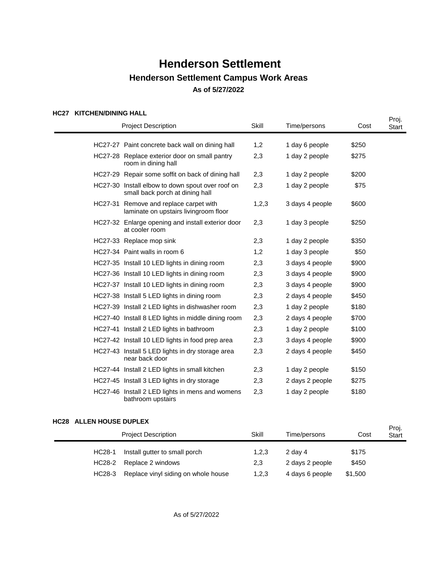### **HC27 KITCHEN/DINING HALL**

|  | <b>Project Description</b>                                                          | Skill | Time/persons    | Cost  | Proj.<br>Start |
|--|-------------------------------------------------------------------------------------|-------|-----------------|-------|----------------|
|  |                                                                                     |       |                 |       |                |
|  | HC27-27 Paint concrete back wall on dining hall                                     | 1,2   | 1 day 6 people  | \$250 |                |
|  | HC27-28 Replace exterior door on small pantry<br>room in dining hall                | 2,3   | 1 day 2 people  | \$275 |                |
|  | HC27-29 Repair some soffit on back of dining hall                                   | 2,3   | 1 day 2 people  | \$200 |                |
|  | HC27-30 Install elbow to down spout over roof on<br>small back porch at dining hall | 2,3   | 1 day 2 people  | \$75  |                |
|  | HC27-31 Remove and replace carpet with<br>laminate on upstairs livingroom floor     | 1,2,3 | 3 days 4 people | \$600 |                |
|  | HC27-32 Enlarge opening and install exterior door<br>at cooler room                 | 2,3   | 1 day 3 people  | \$250 |                |
|  | HC27-33 Replace mop sink                                                            | 2,3   | 1 day 2 people  | \$350 |                |
|  | HC27-34 Paint walls in room 6                                                       | 1,2   | 1 day 3 people  | \$50  |                |
|  | HC27-35 Install 10 LED lights in dining room                                        | 2,3   | 3 days 4 people | \$900 |                |
|  | HC27-36 Install 10 LED lights in dining room                                        | 2,3   | 3 days 4 people | \$900 |                |
|  | HC27-37 Install 10 LED lights in dining room                                        | 2,3   | 3 days 4 people | \$900 |                |
|  | HC27-38 Install 5 LED lights in dining room                                         | 2,3   | 2 days 4 people | \$450 |                |
|  | HC27-39 Install 2 LED lights in dishwasher room                                     | 2,3   | 1 day 2 people  | \$180 |                |
|  | HC27-40 Install 8 LED lights in middle dining room                                  | 2,3   | 2 days 4 people | \$700 |                |
|  | HC27-41 Install 2 LED lights in bathroom                                            | 2,3   | 1 day 2 people  | \$100 |                |
|  | HC27-42 Install 10 LED lights in food prep area                                     | 2,3   | 3 days 4 people | \$900 |                |
|  | HC27-43 Install 5 LED lights in dry storage area<br>near back door                  | 2,3   | 2 days 4 people | \$450 |                |
|  | HC27-44 Install 2 LED lights in small kitchen                                       | 2,3   | 1 day 2 people  | \$150 |                |
|  | HC27-45 Install 3 LED lights in dry storage                                         | 2,3   | 2 days 2 people | \$275 |                |
|  | HC27-46 Install 2 LED lights in mens and womens<br>bathroom upstairs                | 2,3   | 1 day 2 people  | \$180 |                |

### **HC28 ALLEN HOUSE DUPLEX**

| <u>VLV ALLLIIIVUUL DUI LLA</u> |                                     |       |                 |         | Proj.        |
|--------------------------------|-------------------------------------|-------|-----------------|---------|--------------|
| <b>Project Description</b>     |                                     | Skill | Time/persons    | Cost    | <b>Start</b> |
| HC28-1                         | Install gutter to small porch       | 1,2,3 | 2 day 4         | \$175   |              |
| HC28-2                         | Replace 2 windows                   | 2,3   | 2 days 2 people | \$450   |              |
| HC28-3                         | Replace vinyl siding on whole house | 1,2,3 | 4 days 6 people | \$1,500 |              |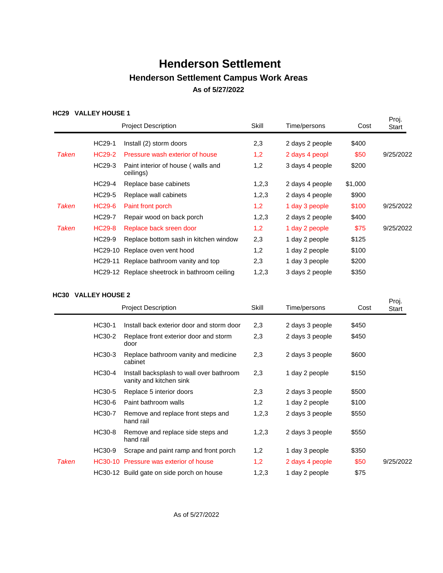### **HC29 VALLEY HOUSE 1**

|       |               | <b>Project Description</b>                      | Skill | Time/persons    | Cost    | Proj.<br>Start |
|-------|---------------|-------------------------------------------------|-------|-----------------|---------|----------------|
|       | HC29-1        | Install (2) storm doors                         | 2,3   | 2 days 2 people | \$400   |                |
| Taken | <b>HC29-2</b> | Pressure wash exterior of house                 | 1,2   | 2 days 4 peopl  | \$50    | 9/25/2022      |
|       | HC29-3        | Paint interior of house (walls and<br>ceilings) | 1,2   | 3 days 4 people | \$200   |                |
|       | HC29-4        | Replace base cabinets                           | 1,2,3 | 2 days 4 people | \$1,000 |                |
|       | HC29-5        | Replace wall cabinets                           | 1,2,3 | 2 days 4 people | \$900   |                |
| Taken | HC29-6        | Paint front porch                               | 1,2   | 1 day 3 people  | \$100   | 9/25/2022      |
|       | HC29-7        | Repair wood on back porch                       | 1,2,3 | 2 days 2 people | \$400   |                |
| Taken | <b>HC29-8</b> | Replace back sreen door                         | 1,2   | 1 day 2 people  | \$75    | 9/25/2022      |
|       | HC29-9        | Replace bottom sash in kitchen window           | 2,3   | 1 day 2 people  | \$125   |                |
|       | HC29-10       | Replace oven vent hood                          | 1,2   | 1 day 2 people  | \$100   |                |
|       |               | HC29-11 Replace bathroom vanity and top         | 2,3   | 1 day 3 people  | \$200   |                |
|       |               | HC29-12 Replace sheetrock in bathroom ceiling   | 1,2,3 | 3 days 2 people | \$350   |                |

#### **HC30 VALLEY HOUSE 2**

| ּטטטו | TALLLI IIVUJL 4 |                                                                     |       |                 |       | Proj.     |
|-------|-----------------|---------------------------------------------------------------------|-------|-----------------|-------|-----------|
|       |                 | <b>Project Description</b>                                          | Skill | Time/persons    | Cost  | Start     |
|       | HC30-1          | Install back exterior door and storm door                           | 2,3   | 2 days 3 people | \$450 |           |
|       | HC30-2          | Replace front exterior door and storm<br>door                       | 2,3   | 2 days 3 people | \$450 |           |
|       | HC30-3          | Replace bathroom vanity and medicine<br>cabinet                     | 2,3   | 2 days 3 people | \$600 |           |
|       | HC30-4          | Install backsplash to wall over bathroom<br>vanity and kitchen sink | 2,3   | 1 day 2 people  | \$150 |           |
|       | HC30-5          | Replace 5 interior doors                                            | 2,3   | 2 days 3 people | \$500 |           |
|       | HC30-6          | Paint bathroom walls                                                | 1,2   | 1 day 2 people  | \$100 |           |
|       | HC30-7          | Remove and replace front steps and<br>hand rail                     | 1,2,3 | 2 days 3 people | \$550 |           |
|       | HC30-8          | Remove and replace side steps and<br>hand rail                      | 1,2,3 | 2 days 3 people | \$550 |           |
|       | HC30-9          | Scrape and paint ramp and front porch                               | 1,2   | 1 day 3 people  | \$350 |           |
| Taken |                 | HC30-10 Pressure was exterior of house                              | 1,2   | 2 days 4 people | \$50  | 9/25/2022 |
|       |                 | HC30-12 Build gate on side porch on house                           | 1,2,3 | 1 day 2 people  | \$75  |           |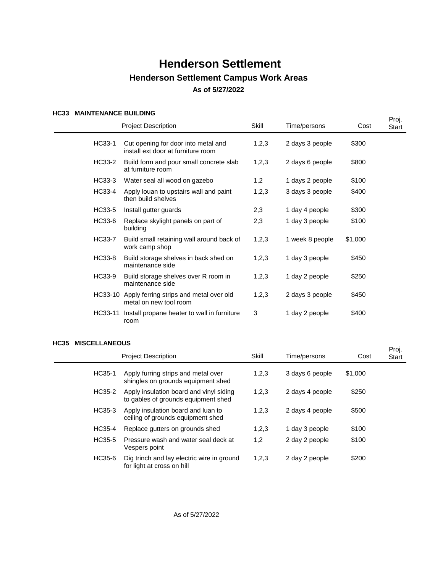### **HC33 MAINTENANCE BUILDING**

|         | <b>Project Description</b>                                                | Skill | Time/persons    | Cost    | Proj.<br>Start |
|---------|---------------------------------------------------------------------------|-------|-----------------|---------|----------------|
| HC33-1  | Cut opening for door into metal and<br>install ext door at furniture room | 1,2,3 | 2 days 3 people | \$300   |                |
| HC33-2  | Build form and pour small concrete slab<br>at furniture room              | 1,2,3 | 2 days 6 people | \$800   |                |
| HC33-3  | Water seal all wood on gazebo                                             | 1,2   | 1 days 2 people | \$100   |                |
| HC33-4  | Apply louan to upstairs wall and paint<br>then build shelves              | 1,2,3 | 3 days 3 people | \$400   |                |
| HC33-5  | Install gutter guards                                                     | 2,3   | 1 day 4 people  | \$300   |                |
| HC33-6  | Replace skylight panels on part of<br>building                            | 2,3   | 1 day 3 people  | \$100   |                |
| HC33-7  | Build small retaining wall around back of<br>work camp shop               | 1,2,3 | 1 week 8 people | \$1,000 |                |
| HC33-8  | Build storage shelves in back shed on<br>maintenance side                 | 1,2,3 | 1 day 3 people  | \$450   |                |
| HC33-9  | Build storage shelves over R room in<br>maintenance side                  | 1,2,3 | 1 day 2 people  | \$250   |                |
| HC33-10 | Apply ferring strips and metal over old<br>metal on new tool room         | 1,2,3 | 2 days 3 people | \$450   |                |
| HC33-11 | Install propane heater to wall in furniture<br>room                       | 3     | 1 day 2 people  | \$400   |                |

#### **HC35 MISCELLANEOUS**

| ບປປ | <b>INIJULLLANLUUJ</b> |                                                                                |       |                 |         | Proj.        |
|-----|-----------------------|--------------------------------------------------------------------------------|-------|-----------------|---------|--------------|
|     |                       | <b>Project Description</b>                                                     | Skill | Time/persons    | Cost    | <b>Start</b> |
|     | HC35-1                | Apply furring strips and metal over<br>shingles on grounds equipment shed      | 1,2,3 | 3 days 6 people | \$1,000 |              |
|     | HC35-2                | Apply insulation board and vinyl siding<br>to gables of grounds equipment shed | 1,2,3 | 2 days 4 people | \$250   |              |
|     | HC35-3                | Apply insulation board and luan to<br>ceiling of grounds equipment shed        | 1,2,3 | 2 days 4 people | \$500   |              |
|     | HC35-4                | Replace gutters on grounds shed                                                | 1,2,3 | 1 day 3 people  | \$100   |              |
|     | HC35-5                | Pressure wash and water seal deck at<br>Vespers point                          | 1,2   | 2 day 2 people  | \$100   |              |
|     | HC35-6                | Dig trinch and lay electric wire in ground<br>for light at cross on hill       | 1,2,3 | 2 day 2 people  | \$200   |              |